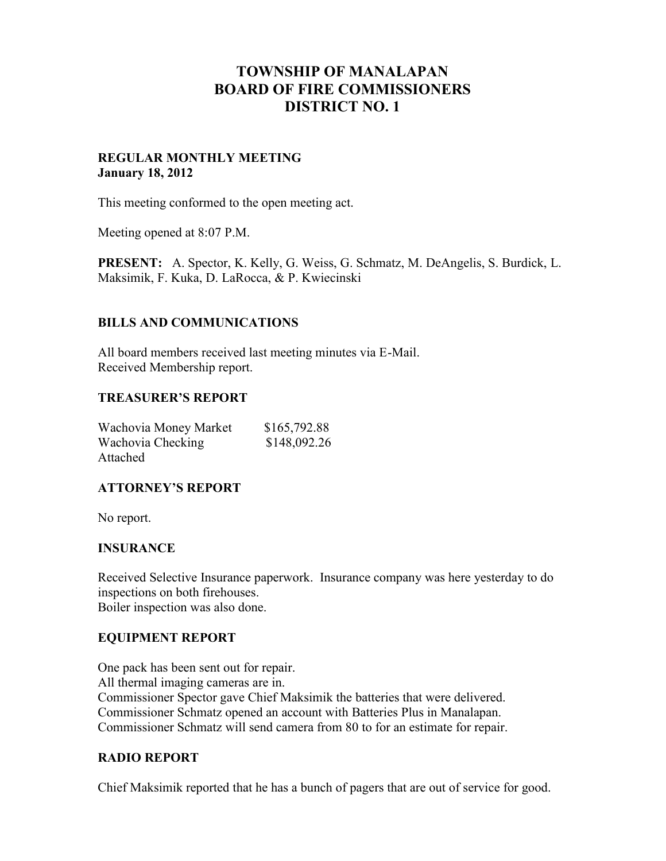# **TOWNSHIP OF MANALAPAN BOARD OF FIRE COMMISSIONERS DISTRICT NO. 1**

### **REGULAR MONTHLY MEETING January 18, 2012**

This meeting conformed to the open meeting act.

Meeting opened at 8:07 P.M.

**PRESENT:** A. Spector, K. Kelly, G. Weiss, G. Schmatz, M. DeAngelis, S. Burdick, L. Maksimik, F. Kuka, D. LaRocca, & P. Kwiecinski

# **BILLS AND COMMUNICATIONS**

All board members received last meeting minutes via E-Mail. Received Membership report.

#### **TREASURER'S REPORT**

| Wachovia Money Market | \$165,792.88 |
|-----------------------|--------------|
| Wachovia Checking     | \$148,092.26 |
| Attached              |              |

#### **ATTORNEY'S REPORT**

No report.

#### **INSURANCE**

Received Selective Insurance paperwork. Insurance company was here yesterday to do inspections on both firehouses. Boiler inspection was also done.

#### **EQUIPMENT REPORT**

One pack has been sent out for repair. All thermal imaging cameras are in. Commissioner Spector gave Chief Maksimik the batteries that were delivered. Commissioner Schmatz opened an account with Batteries Plus in Manalapan. Commissioner Schmatz will send camera from 80 to for an estimate for repair.

#### **RADIO REPORT**

Chief Maksimik reported that he has a bunch of pagers that are out of service for good.